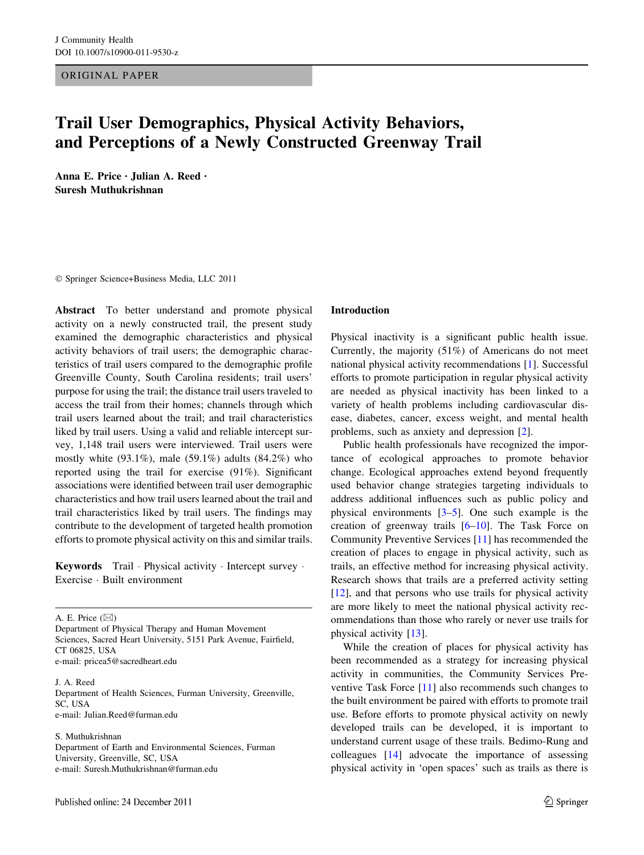ORIGINAL PAPER

# Trail User Demographics, Physical Activity Behaviors, and Perceptions of a Newly Constructed Greenway Trail

Anna E. Price • Julian A. Reed • Suresh Muthukrishnan

- Springer Science+Business Media, LLC 2011

Abstract To better understand and promote physical activity on a newly constructed trail, the present study examined the demographic characteristics and physical activity behaviors of trail users; the demographic characteristics of trail users compared to the demographic profile Greenville County, South Carolina residents; trail users' purpose for using the trail; the distance trail users traveled to access the trail from their homes; channels through which trail users learned about the trail; and trail characteristics liked by trail users. Using a valid and reliable intercept survey, 1,148 trail users were interviewed. Trail users were mostly white  $(93.1\%)$ , male  $(59.1\%)$  adults  $(84.2\%)$  who reported using the trail for exercise (91%). Significant associations were identified between trail user demographic characteristics and how trail users learned about the trail and trail characteristics liked by trail users. The findings may contribute to the development of targeted health promotion efforts to promote physical activity on this and similar trails.

Keywords Trail · Physical activity · Intercept survey · Exercise - Built environment

A. E. Price  $(\boxtimes)$ Department of Physical Therapy and Human Movement Sciences, Sacred Heart University, 5151 Park Avenue, Fairfield, CT 06825, USA e-mail: pricea5@sacredheart.edu

J. A. Reed Department of Health Sciences, Furman University, Greenville, SC, USA e-mail: Julian.Reed@furman.edu

S. Muthukrishnan

Department of Earth and Environmental Sciences, Furman University, Greenville, SC, USA e-mail: Suresh.Muthukrishnan@furman.edu

#### Introduction

Physical inactivity is a significant public health issue. Currently, the majority (51%) of Americans do not meet national physical activity recommendations [[1\]](#page-6-0). Successful efforts to promote participation in regular physical activity are needed as physical inactivity has been linked to a variety of health problems including cardiovascular disease, diabetes, cancer, excess weight, and mental health problems, such as anxiety and depression [\[2](#page-6-0)].

Public health professionals have recognized the importance of ecological approaches to promote behavior change. Ecological approaches extend beyond frequently used behavior change strategies targeting individuals to address additional influences such as public policy and physical environments [\[3–5](#page-6-0)]. One such example is the creation of greenway trails [[6–10\]](#page-6-0). The Task Force on Community Preventive Services [\[11](#page-6-0)] has recommended the creation of places to engage in physical activity, such as trails, an effective method for increasing physical activity. Research shows that trails are a preferred activity setting [\[12](#page-6-0)], and that persons who use trails for physical activity are more likely to meet the national physical activity recommendations than those who rarely or never use trails for physical activity [[13\]](#page-6-0).

While the creation of places for physical activity has been recommended as a strategy for increasing physical activity in communities, the Community Services Preventive Task Force [\[11](#page-6-0)] also recommends such changes to the built environment be paired with efforts to promote trail use. Before efforts to promote physical activity on newly developed trails can be developed, it is important to understand current usage of these trails. Bedimo-Rung and colleagues [[14\]](#page-6-0) advocate the importance of assessing physical activity in 'open spaces' such as trails as there is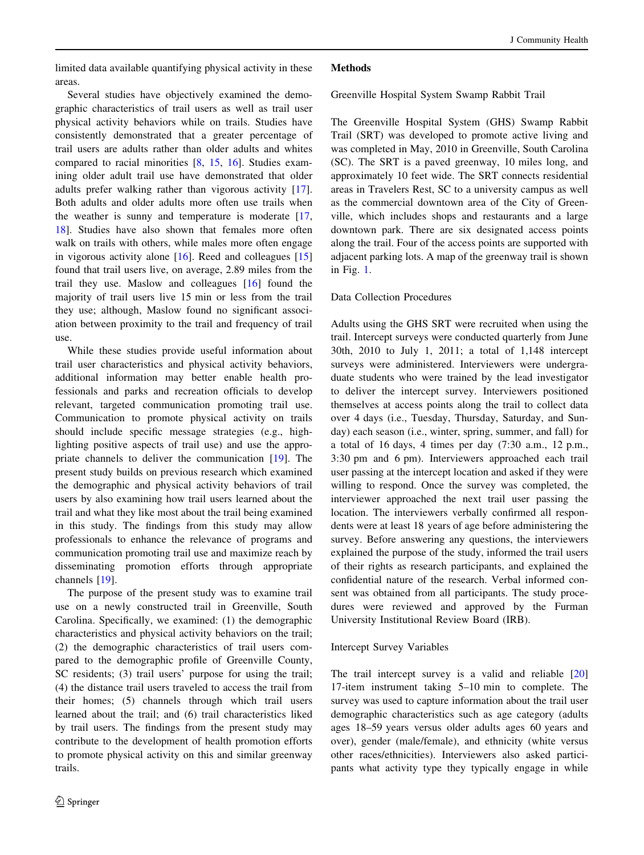limited data available quantifying physical activity in these areas.

Several studies have objectively examined the demographic characteristics of trail users as well as trail user physical activity behaviors while on trails. Studies have consistently demonstrated that a greater percentage of trail users are adults rather than older adults and whites compared to racial minorities [[8,](#page-6-0) [15,](#page-6-0) [16](#page-7-0)]. Studies examining older adult trail use have demonstrated that older adults prefer walking rather than vigorous activity [\[17](#page-7-0)]. Both adults and older adults more often use trails when the weather is sunny and temperature is moderate [[17,](#page-7-0) [18](#page-7-0)]. Studies have also shown that females more often walk on trails with others, while males more often engage in vigorous activity alone  $[16]$  $[16]$ . Reed and colleagues  $[15]$  $[15]$ found that trail users live, on average, 2.89 miles from the trail they use. Maslow and colleagues [\[16](#page-7-0)] found the majority of trail users live 15 min or less from the trail they use; although, Maslow found no significant association between proximity to the trail and frequency of trail use.

While these studies provide useful information about trail user characteristics and physical activity behaviors, additional information may better enable health professionals and parks and recreation officials to develop relevant, targeted communication promoting trail use. Communication to promote physical activity on trails should include specific message strategies (e.g., highlighting positive aspects of trail use) and use the appropriate channels to deliver the communication [[19\]](#page-7-0). The present study builds on previous research which examined the demographic and physical activity behaviors of trail users by also examining how trail users learned about the trail and what they like most about the trail being examined in this study. The findings from this study may allow professionals to enhance the relevance of programs and communication promoting trail use and maximize reach by disseminating promotion efforts through appropriate channels [[19\]](#page-7-0).

The purpose of the present study was to examine trail use on a newly constructed trail in Greenville, South Carolina. Specifically, we examined: (1) the demographic characteristics and physical activity behaviors on the trail; (2) the demographic characteristics of trail users compared to the demographic profile of Greenville County, SC residents; (3) trail users' purpose for using the trail; (4) the distance trail users traveled to access the trail from their homes; (5) channels through which trail users learned about the trail; and (6) trail characteristics liked by trail users. The findings from the present study may contribute to the development of health promotion efforts to promote physical activity on this and similar greenway trails.

# **Methods**

Greenville Hospital System Swamp Rabbit Trail

The Greenville Hospital System (GHS) Swamp Rabbit Trail (SRT) was developed to promote active living and was completed in May, 2010 in Greenville, South Carolina (SC). The SRT is a paved greenway, 10 miles long, and approximately 10 feet wide. The SRT connects residential areas in Travelers Rest, SC to a university campus as well as the commercial downtown area of the City of Greenville, which includes shops and restaurants and a large downtown park. There are six designated access points along the trail. Four of the access points are supported with adjacent parking lots. A map of the greenway trail is shown in Fig. [1](#page-2-0).

## Data Collection Procedures

Adults using the GHS SRT were recruited when using the trail. Intercept surveys were conducted quarterly from June 30th, 2010 to July 1, 2011; a total of 1,148 intercept surveys were administered. Interviewers were undergraduate students who were trained by the lead investigator to deliver the intercept survey. Interviewers positioned themselves at access points along the trail to collect data over 4 days (i.e., Tuesday, Thursday, Saturday, and Sunday) each season (i.e., winter, spring, summer, and fall) for a total of 16 days, 4 times per day (7:30 a.m., 12 p.m., 3:30 pm and 6 pm). Interviewers approached each trail user passing at the intercept location and asked if they were willing to respond. Once the survey was completed, the interviewer approached the next trail user passing the location. The interviewers verbally confirmed all respondents were at least 18 years of age before administering the survey. Before answering any questions, the interviewers explained the purpose of the study, informed the trail users of their rights as research participants, and explained the confidential nature of the research. Verbal informed consent was obtained from all participants. The study procedures were reviewed and approved by the Furman University Institutional Review Board (IRB).

## Intercept Survey Variables

The trail intercept survey is a valid and reliable [[20\]](#page-7-0) 17-item instrument taking 5–10 min to complete. The survey was used to capture information about the trail user demographic characteristics such as age category (adults ages 18–59 years versus older adults ages 60 years and over), gender (male/female), and ethnicity (white versus other races/ethnicities). Interviewers also asked participants what activity type they typically engage in while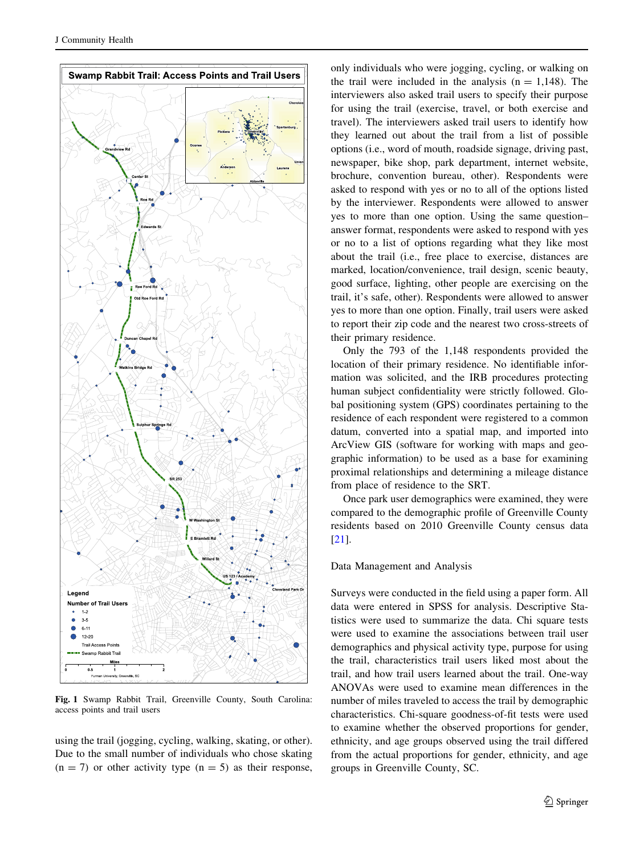<span id="page-2-0"></span>

Fig. 1 Swamp Rabbit Trail, Greenville County, South Carolina: access points and trail users

using the trail (jogging, cycling, walking, skating, or other). Due to the small number of individuals who chose skating  $(n = 7)$  or other activity type  $(n = 5)$  as their response, only individuals who were jogging, cycling, or walking on the trail were included in the analysis  $(n = 1,148)$ . The interviewers also asked trail users to specify their purpose for using the trail (exercise, travel, or both exercise and travel). The interviewers asked trail users to identify how they learned out about the trail from a list of possible options (i.e., word of mouth, roadside signage, driving past, newspaper, bike shop, park department, internet website, brochure, convention bureau, other). Respondents were asked to respond with yes or no to all of the options listed by the interviewer. Respondents were allowed to answer yes to more than one option. Using the same question– answer format, respondents were asked to respond with yes or no to a list of options regarding what they like most about the trail (i.e., free place to exercise, distances are marked, location/convenience, trail design, scenic beauty, good surface, lighting, other people are exercising on the trail, it's safe, other). Respondents were allowed to answer yes to more than one option. Finally, trail users were asked to report their zip code and the nearest two cross-streets of their primary residence.

Only the 793 of the 1,148 respondents provided the location of their primary residence. No identifiable information was solicited, and the IRB procedures protecting human subject confidentiality were strictly followed. Global positioning system (GPS) coordinates pertaining to the residence of each respondent were registered to a common datum, converted into a spatial map, and imported into ArcView GIS (software for working with maps and geographic information) to be used as a base for examining proximal relationships and determining a mileage distance from place of residence to the SRT.

Once park user demographics were examined, they were compared to the demographic profile of Greenville County residents based on 2010 Greenville County census data [\[21](#page-7-0)].

#### Data Management and Analysis

Surveys were conducted in the field using a paper form. All data were entered in SPSS for analysis. Descriptive Statistics were used to summarize the data. Chi square tests were used to examine the associations between trail user demographics and physical activity type, purpose for using the trail, characteristics trail users liked most about the trail, and how trail users learned about the trail. One-way ANOVAs were used to examine mean differences in the number of miles traveled to access the trail by demographic characteristics. Chi-square goodness-of-fit tests were used to examine whether the observed proportions for gender, ethnicity, and age groups observed using the trail differed from the actual proportions for gender, ethnicity, and age groups in Greenville County, SC.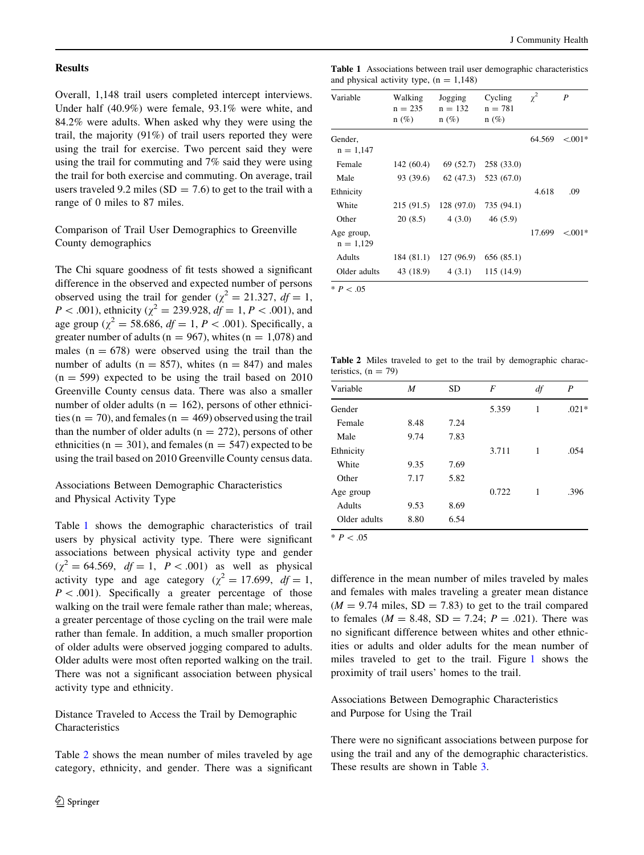#### Results

Overall, 1,148 trail users completed intercept interviews. Under half (40.9%) were female, 93.1% were white, and 84.2% were adults. When asked why they were using the trail, the majority (91%) of trail users reported they were using the trail for exercise. Two percent said they were using the trail for commuting and 7% said they were using the trail for both exercise and commuting. On average, trail users traveled 9.2 miles ( $SD = 7.6$ ) to get to the trail with a range of 0 miles to 87 miles.

Comparison of Trail User Demographics to Greenville County demographics

The Chi square goodness of fit tests showed a significant difference in the observed and expected number of persons observed using the trail for gender ( $\chi^2 = 21.327$ ,  $df = 1$ ,  $P < .001$ ), ethnicity ( $\chi^2 = 239.928$ ,  $df = 1, P < .001$ ), and age group ( $\chi^2 = 58.686$ ,  $df = 1$ ,  $P < .001$ ). Specifically, a greater number of adults ( $n = 967$ ), whites ( $n = 1,078$ ) and males  $(n = 678)$  were observed using the trail than the number of adults ( $n = 857$ ), whites ( $n = 847$ ) and males  $(n = 599)$  expected to be using the trail based on 2010 Greenville County census data. There was also a smaller number of older adults ( $n = 162$ ), persons of other ethnicities ( $n = 70$ ), and females ( $n = 469$ ) observed using the trail than the number of older adults ( $n = 272$ ), persons of other ethnicities ( $n = 301$ ), and females ( $n = 547$ ) expected to be using the trail based on 2010 Greenville County census data.

Associations Between Demographic Characteristics and Physical Activity Type

Table 1 shows the demographic characteristics of trail users by physical activity type. There were significant associations between physical activity type and gender  $(\chi^2 = 64.569, df = 1, P < .001)$  as well as physical activity type and age category ( $\chi^2 = 17.699$ ,  $df = 1$ ,  $P < .001$ ). Specifically a greater percentage of those walking on the trail were female rather than male; whereas, a greater percentage of those cycling on the trail were male rather than female. In addition, a much smaller proportion of older adults were observed jogging compared to adults. Older adults were most often reported walking on the trail. There was not a significant association between physical activity type and ethnicity.

Distance Traveled to Access the Trail by Demographic Characteristics

Table 2 shows the mean number of miles traveled by age category, ethnicity, and gender. There was a significant

Table 1 Associations between trail user demographic characteristics and physical activity type,  $(n = 1,148)$ 

| Variable                  | Walking<br>$n = 235$<br>$n(\%)$ | Jogging<br>$n = 132$<br>$n(\%)$ | Cycling<br>$n = 781$<br>$n(\%)$ | $\chi^2$ | P          |
|---------------------------|---------------------------------|---------------------------------|---------------------------------|----------|------------|
| Gender.<br>$n = 1,147$    |                                 |                                 |                                 | 64.569   | $< 0.001*$ |
| Female                    | 142(60.4)                       | 69 (52.7)                       | 258 (33.0)                      |          |            |
| Male                      | 93 (39.6)                       | 62 (47.3)                       | 523 (67.0)                      |          |            |
| Ethnicity                 |                                 |                                 |                                 | 4.618    | .09        |
| White                     | 215(91.5)                       | 128(97.0)                       | 735 (94.1)                      |          |            |
| Other                     | 20(8.5)                         | 4(3.0)                          | 46 (5.9)                        |          |            |
| Age group,<br>$n = 1,129$ |                                 |                                 |                                 | 17.699   | $< 0.001*$ |
| <b>Adults</b>             | 184 (81.1)                      | 127 (96.9)                      | 656 (85.1)                      |          |            |
| Older adults              | 43 (18.9)                       | 4(3.1)                          | 115 (14.9)                      |          |            |

 $* \, P < .05$ 

| <b>Table 2</b> Miles traveled to get to the trail by demographic charac- |  |  |  |  |
|--------------------------------------------------------------------------|--|--|--|--|
| teristics, $(n = 79)$                                                    |  |  |  |  |

| Variable     | M    | <b>SD</b> | F     | df | P       |
|--------------|------|-----------|-------|----|---------|
| Gender       |      |           | 5.359 | 1  | $.021*$ |
| Female       | 8.48 | 7.24      |       |    |         |
| Male         | 9.74 | 7.83      |       |    |         |
| Ethnicity    |      |           | 3.711 | 1  | .054    |
| White        | 9.35 | 7.69      |       |    |         |
| Other        | 7.17 | 5.82      |       |    |         |
| Age group    |      |           | 0.722 | 1  | .396    |
| Adults       | 9.53 | 8.69      |       |    |         |
| Older adults | 8.80 | 6.54      |       |    |         |

 $*$  P < .05

difference in the mean number of miles traveled by males and females with males traveling a greater mean distance  $(M = 9.74 \text{ miles}, SD = 7.83)$  to get to the trail compared to females ( $M = 8.48$ , SD = 7.24;  $P = .021$ ). There was no significant difference between whites and other ethnicities or adults and older adults for the mean number of miles traveled to get to the trail. Figure [1](#page-2-0) shows the proximity of trail users' homes to the trail.

Associations Between Demographic Characteristics and Purpose for Using the Trail

There were no significant associations between purpose for using the trail and any of the demographic characteristics. These results are shown in Table [3.](#page-4-0)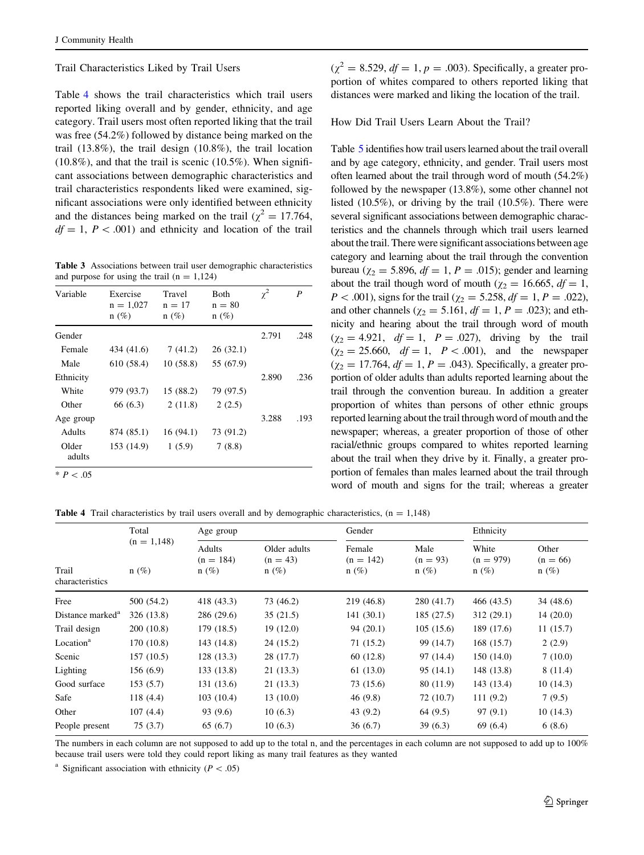<span id="page-4-0"></span>Trail Characteristics Liked by Trail Users

Table 4 shows the trail characteristics which trail users reported liking overall and by gender, ethnicity, and age category. Trail users most often reported liking that the trail was free (54.2%) followed by distance being marked on the trail (13.8%), the trail design (10.8%), the trail location  $(10.8\%)$ , and that the trail is scenic  $(10.5\%)$ . When significant associations between demographic characteristics and trail characteristics respondents liked were examined, significant associations were only identified between ethnicity and the distances being marked on the trail ( $\chi^2 = 17.764$ ,  $df = 1$ ,  $P < .001$ ) and ethnicity and location of the trail

Table 3 Associations between trail user demographic characteristics and purpose for using the trail  $(n = 1,124)$ 

| Variable        | Exercise<br>$n = 1,027$<br>$n(\%)$ | Travel<br>$n = 17$<br>$n(\%)$ | Both<br>$n = 80$<br>$n(\%)$ | $\chi^2$ | P    |
|-----------------|------------------------------------|-------------------------------|-----------------------------|----------|------|
| Gender          |                                    |                               |                             | 2.791    | .248 |
| Female          | 434 (41.6)                         | 7(41.2)                       | 26(32.1)                    |          |      |
| Male            | 610 (58.4)                         | 10(58.8)                      | 55 (67.9)                   |          |      |
| Ethnicity       |                                    |                               |                             | 2.890    | .236 |
| White           | 979 (93.7)                         | 15 (88.2)                     | 79 (97.5)                   |          |      |
| Other           | 66 (6.3)                           | 2(11.8)                       | 2(2.5)                      |          |      |
| Age group       |                                    |                               |                             | 3.288    | .193 |
| <b>Adults</b>   | 874 (85.1)                         | 16(94.1)                      | 73 (91.2)                   |          |      |
| Older<br>adults | 153 (14.9)                         | 1(5.9)                        | 7(8.8)                      |          |      |
| $* P < .05$     |                                    |                               |                             |          |      |

 $(y^2 = 8.529, df = 1, p = .003)$ . Specifically, a greater proportion of whites compared to others reported liking that distances were marked and liking the location of the trail.

How Did Trail Users Learn About the Trail?

Table [5](#page-5-0) identifies how trail users learned about the trail overall and by age category, ethnicity, and gender. Trail users most often learned about the trail through word of mouth (54.2%) followed by the newspaper (13.8%), some other channel not listed  $(10.5\%)$ , or driving by the trail  $(10.5\%)$ . There were several significant associations between demographic characteristics and the channels through which trail users learned about the trail. There were significant associations between age category and learning about the trail through the convention bureau ( $\chi$ <sup>2</sup> = 5.896,  $df$  = 1, P = .015); gender and learning about the trail though word of mouth ( $\gamma_2 = 16.665$ ,  $df = 1$ ,  $P < .001$ ), signs for the trail ( $\chi_2 = 5.258$ ,  $df = 1, P = .022$ ), and other channels ( $\chi$ <sub>2</sub> = 5.161,  $df$  = 1, P = .023); and ethnicity and hearing about the trail through word of mouth  $(\chi_2 = 4.921, df = 1, P = .027)$ , driving by the trail  $(\chi_2 = 25.660, \text{ df} = 1, P < .001)$ , and the newspaper  $(\chi_2 = 17.764, df = 1, P = .043)$ . Specifically, a greater proportion of older adults than adults reported learning about the trail through the convention bureau. In addition a greater proportion of whites than persons of other ethnic groups reported learning about the trail through word of mouth and the newspaper; whereas, a greater proportion of those of other racial/ethnic groups compared to whites reported learning about the trail when they drive by it. Finally, a greater proportion of females than males learned about the trail through word of mouth and signs for the trail; whereas a greater

**Table 4** Trail characteristics by trail users overall and by demographic characteristics,  $(n = 1,148)$ 

| Trail<br>characteristics     | Total<br>$(n = 1,148)$<br>$n(\%)$ | Age group                        |                                       | Gender                           |                               | Ethnicity                       |                                |
|------------------------------|-----------------------------------|----------------------------------|---------------------------------------|----------------------------------|-------------------------------|---------------------------------|--------------------------------|
|                              |                                   | Adults<br>$(n = 184)$<br>$n(\%)$ | Older adults<br>$(n = 43)$<br>$n(\%)$ | Female<br>$(n = 142)$<br>$n(\%)$ | Male<br>$(n = 93)$<br>$n(\%)$ | White<br>$(n = 979)$<br>$n(\%)$ | Other<br>$(n = 66)$<br>$n(\%)$ |
| Free                         | 500 (54.2)                        | 418 (43.3)                       | 73 (46.2)                             | 219 (46.8)                       | 280 (41.7)                    | 466 (43.5)                      | 34(48.6)                       |
| Distance marked <sup>a</sup> | 326 (13.8)                        | 286 (29.6)                       | 35(21.5)                              | 141(30.1)                        | 185(27.5)                     | 312(29.1)                       | 14(20.0)                       |
| Trail design                 | 200 (10.8)                        | 179 (18.5)                       | 19(12.0)                              | 94(20.1)                         | 105(15.6)                     | 189 (17.6)                      | 11(15.7)                       |
| Location <sup>a</sup>        | 170 (10.8)                        | 143 (14.8)                       | 24 (15.2)                             | 71 (15.2)                        | 99 (14.7)                     | 168(15.7)                       | 2(2.9)                         |
| Scenic                       | 157 (10.5)                        | 128(13.3)                        | 28 (17.7)                             | 60(12.8)                         | 97 (14.4)                     | 150(14.0)                       | 7(10.0)                        |
| Lighting                     | 156(6.9)                          | 133 (13.8)                       | 21(13.3)                              | 61(13.0)                         | 95(14.1)                      | 148 (13.8)                      | 8(11.4)                        |
| Good surface                 | 153(5.7)                          | 131 (13.6)                       | 21(13.3)                              | 73 (15.6)                        | 80(11.9)                      | 143 (13.4)                      | 10(14.3)                       |
| Safe                         | 118(4.4)                          | 103(10.4)                        | 13(10.0)                              | 46(9.8)                          | 72 (10.7)                     | 111(9.2)                        | 7(9.5)                         |
| Other                        | 107(4.4)                          | 93 (9.6)                         | 10(6.3)                               | 43(9.2)                          | 64 (9.5)                      | 97(9.1)                         | 10(14.3)                       |
| People present               | 75(3.7)                           | 65(6.7)                          | 10(6.3)                               | 36(6.7)                          | 39(6.3)                       | 69 (6.4)                        | 6(8.6)                         |

The numbers in each column are not supposed to add up to the total n, and the percentages in each column are not supposed to add up to 100% because trail users were told they could report liking as many trail features as they wanted

<sup>a</sup> Significant association with ethnicity ( $P < .05$ )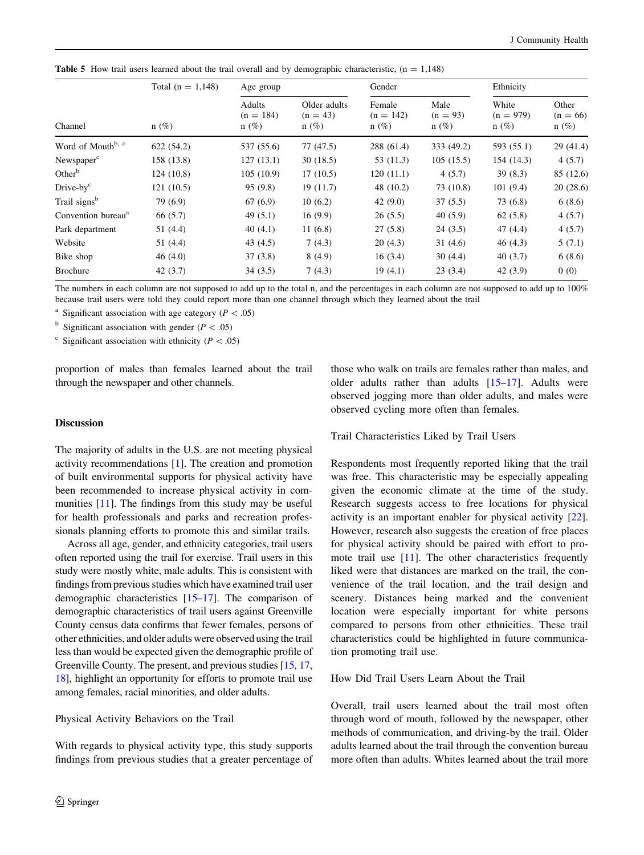| Channel                        | Total $(n = 1,148)$ | Age group                        |                                       |                                  |                               | Ethnicity                       |                                |
|--------------------------------|---------------------|----------------------------------|---------------------------------------|----------------------------------|-------------------------------|---------------------------------|--------------------------------|
|                                | $n(\%)$             | Adults<br>$(n = 184)$<br>$n(\%)$ | Older adults<br>$(n = 43)$<br>$n(\%)$ | Female<br>$(n = 142)$<br>$n(\%)$ | Male<br>$(n = 93)$<br>$n(\%)$ | White<br>$(n = 979)$<br>$n(\%)$ | Other<br>$(n = 66)$<br>$n(\%)$ |
| Word of Mouth <sup>b, c</sup>  | 622(54.2)           | 537 (55.6)                       | 77 (47.5)                             | 288 (61.4)                       | 333 (49.2)                    | 593 (55.1)                      | 29(41.4)                       |
| Newspaper <sup>c</sup>         | 158 (13.8)          | 127(13.1)                        | 30(18.5)                              | 53(11.3)                         | 105(15.5)                     | 154(14.3)                       | 4(5.7)                         |
| Other <sup>b</sup>             | 124(10.8)           | 105(10.9)                        | 17(10.5)                              | 120(11.1)                        | 4(5.7)                        | 39(8.3)                         | 85 (12.6)                      |
| $\text{ Drive-by}^c$           | 121(10.5)           | 95(9.8)                          | 19(11.7)                              | 48 (10.2)                        | 73 (10.8)                     | 101(9.4)                        | 20(28.6)                       |
| Trail signs <sup>b</sup>       | 79 (6.9)            | 67(6.9)                          | 10(6.2)                               | 42 $(9.0)$                       | 37(5.5)                       | 73 (6.8)                        | 6(8.6)                         |
| Convention bureau <sup>a</sup> | 66 (5.7)            | 49 $(5.1)$                       | 16(9.9)                               | 26(5.5)                          | 40(5.9)                       | 62(5.8)                         | 4(5.7)                         |
| Park department                | 51 (4.4)            | 40(4.1)                          | 11(6.8)                               | 27(5.8)                          | 24(3.5)                       | 47(4.4)                         | 4(5.7)                         |
| Website                        | 51 (4.4)            | 43 $(4.5)$                       | 7(4.3)                                | 20(4.3)                          | 31(4.6)                       | 46(4.3)                         | 5(7.1)                         |
| Bike shop                      | 46(4.0)             | 37(3.8)                          | 8(4.9)                                | 16(3.4)                          | 30(4.4)                       | 40(3.7)                         | 6(8.6)                         |
| <b>Brochure</b>                | 42(3.7)             | 34(3.5)                          | 7(4.3)                                | 19(4.1)                          | 23(3.4)                       | 42(3.9)                         | 0(0)                           |

<span id="page-5-0"></span>**Table 5** How trail users learned about the trail overall and by demographic characteristic,  $(n = 1,148)$ 

The numbers in each column are not supposed to add up to the total n, and the percentages in each column are not supposed to add up to 100% because trail users were told they could report more than one channel through which they learned about the trail

<sup>a</sup> Significant association with age category ( $P < .05$ )

<sup>b</sup> Significant association with gender ( $P < .05$ )

<sup>c</sup> Significant association with ethnicity ( $P < .05$ )

proportion of males than females learned about the trail through the newspaper and other channels.

## Discussion

The majority of adults in the U.S. are not meeting physical activity recommendations [[1\]](#page-6-0). The creation and promotion of built environmental supports for physical activity have been recommended to increase physical activity in communities  $[11]$  $[11]$ . The findings from this study may be useful for health professionals and parks and recreation professionals planning efforts to promote this and similar trails.

Across all age, gender, and ethnicity categories, trail users often reported using the trail for exercise. Trail users in this study were mostly white, male adults. This is consistent with findings from previous studies which have examined trail user demographic characteristics [[15](#page-6-0)[–17](#page-7-0)]. The comparison of demographic characteristics of trail users against Greenville County census data confirms that fewer females, persons of other ethnicities, and older adults were observed using the trail less than would be expected given the demographic profile of Greenville County. The present, and previous studies [[15](#page-6-0), [17,](#page-7-0) [18\]](#page-7-0), highlight an opportunity for efforts to promote trail use among females, racial minorities, and older adults.

Physical Activity Behaviors on the Trail

With regards to physical activity type, this study supports findings from previous studies that a greater percentage of those who walk on trails are females rather than males, and older adults rather than adults [\[15](#page-6-0)[–17](#page-7-0)]. Adults were observed jogging more than older adults, and males were observed cycling more often than females.

## Trail Characteristics Liked by Trail Users

Respondents most frequently reported liking that the trail was free. This characteristic may be especially appealing given the economic climate at the time of the study. Research suggests access to free locations for physical activity is an important enabler for physical activity [\[22](#page-7-0)]. However, research also suggests the creation of free places for physical activity should be paired with effort to promote trail use [[11\]](#page-6-0). The other characteristics frequently liked were that distances are marked on the trail, the convenience of the trail location, and the trail design and scenery. Distances being marked and the convenient location were especially important for white persons compared to persons from other ethnicities. These trail characteristics could be highlighted in future communication promoting trail use.

How Did Trail Users Learn About the Trail

Overall, trail users learned about the trail most often through word of mouth, followed by the newspaper, other methods of communication, and driving-by the trail. Older adults learned about the trail through the convention bureau more often than adults. Whites learned about the trail more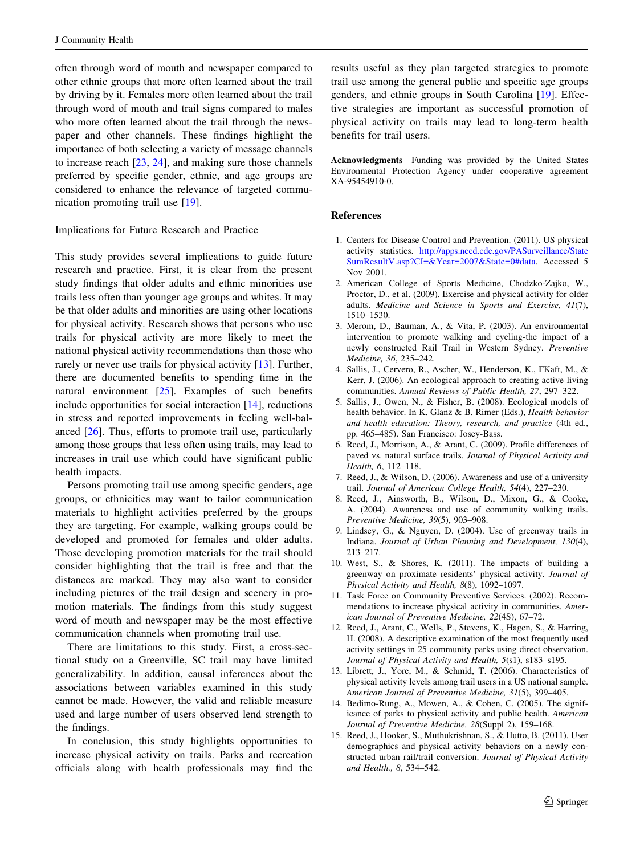<span id="page-6-0"></span>often through word of mouth and newspaper compared to other ethnic groups that more often learned about the trail by driving by it. Females more often learned about the trail through word of mouth and trail signs compared to males who more often learned about the trail through the newspaper and other channels. These findings highlight the importance of both selecting a variety of message channels to increase reach [[23,](#page-7-0) [24](#page-7-0)], and making sure those channels preferred by specific gender, ethnic, and age groups are considered to enhance the relevance of targeted communication promoting trail use [\[19](#page-7-0)].

#### Implications for Future Research and Practice

This study provides several implications to guide future research and practice. First, it is clear from the present study findings that older adults and ethnic minorities use trails less often than younger age groups and whites. It may be that older adults and minorities are using other locations for physical activity. Research shows that persons who use trails for physical activity are more likely to meet the national physical activity recommendations than those who rarely or never use trails for physical activity [13]. Further, there are documented benefits to spending time in the natural environment  $[25]$  $[25]$ . Examples of such benefits include opportunities for social interaction [14], reductions in stress and reported improvements in feeling well-balanced [\[26](#page-7-0)]. Thus, efforts to promote trail use, particularly among those groups that less often using trails, may lead to increases in trail use which could have significant public health impacts.

Persons promoting trail use among specific genders, age groups, or ethnicities may want to tailor communication materials to highlight activities preferred by the groups they are targeting. For example, walking groups could be developed and promoted for females and older adults. Those developing promotion materials for the trail should consider highlighting that the trail is free and that the distances are marked. They may also want to consider including pictures of the trail design and scenery in promotion materials. The findings from this study suggest word of mouth and newspaper may be the most effective communication channels when promoting trail use.

There are limitations to this study. First, a cross-sectional study on a Greenville, SC trail may have limited generalizability. In addition, causal inferences about the associations between variables examined in this study cannot be made. However, the valid and reliable measure used and large number of users observed lend strength to the findings.

In conclusion, this study highlights opportunities to increase physical activity on trails. Parks and recreation officials along with health professionals may find the results useful as they plan targeted strategies to promote trail use among the general public and specific age groups genders, and ethnic groups in South Carolina [[19\]](#page-7-0). Effective strategies are important as successful promotion of physical activity on trails may lead to long-term health benefits for trail users.

Acknowledgments Funding was provided by the United States Environmental Protection Agency under cooperative agreement XA-95454910-0.

#### References

- 1. Centers for Disease Control and Prevention. (2011). US physical activity statistics. [http://apps.nccd.cdc.gov/PASurveillance/State](http://apps.nccd.cdc.gov/PASurveillance/StateSumResultV.asp?CI=&Year=2007&State=0#data) [SumResultV.asp?CI=&Year=2007&State=0#data.](http://apps.nccd.cdc.gov/PASurveillance/StateSumResultV.asp?CI=&Year=2007&State=0#data) Accessed 5 Nov 2001.
- 2. American College of Sports Medicine, Chodzko-Zajko, W., Proctor, D., et al. (2009). Exercise and physical activity for older adults. Medicine and Science in Sports and Exercise, 41(7), 1510–1530.
- 3. Merom, D., Bauman, A., & Vita, P. (2003). An environmental intervention to promote walking and cycling-the impact of a newly constructed Rail Trail in Western Sydney. Preventive Medicine, 36, 235–242.
- 4. Sallis, J., Cervero, R., Ascher, W., Henderson, K., FKaft, M., & Kerr, J. (2006). An ecological approach to creating active living communities. Annual Reviews of Public Health, 27, 297–322.
- 5. Sallis, J., Owen, N., & Fisher, B. (2008). Ecological models of health behavior. In K. Glanz & B. Rimer (Eds.), Health behavior and health education: Theory, research, and practice (4th ed., pp. 465–485). San Francisco: Josey-Bass.
- 6. Reed, J., Morrison, A., & Arant, C. (2009). Profile differences of paved vs. natural surface trails. Journal of Physical Activity and Health, 6, 112–118.
- 7. Reed, J., & Wilson, D. (2006). Awareness and use of a university trail. Journal of American College Health, 54(4), 227–230.
- 8. Reed, J., Ainsworth, B., Wilson, D., Mixon, G., & Cooke, A. (2004). Awareness and use of community walking trails. Preventive Medicine, 39(5), 903–908.
- 9. Lindsey, G., & Nguyen, D. (2004). Use of greenway trails in Indiana. Journal of Urban Planning and Development, 130(4), 213–217.
- 10. West, S., & Shores, K. (2011). The impacts of building a greenway on proximate residents' physical activity. Journal of Physical Activity and Health, 8(8), 1092–1097.
- 11. Task Force on Community Preventive Services. (2002). Recommendations to increase physical activity in communities. American Journal of Preventive Medicine, 22(4S), 67–72.
- 12. Reed, J., Arant, C., Wells, P., Stevens, K., Hagen, S., & Harring, H. (2008). A descriptive examination of the most frequently used activity settings in 25 community parks using direct observation. Journal of Physical Activity and Health, 5(s1), s183–s195.
- 13. Librett, J., Yore, M., & Schmid, T. (2006). Characteristics of physical activity levels among trail users in a US national sample. American Journal of Preventive Medicine, 31(5), 399–405.
- 14. Bedimo-Rung, A., Mowen, A., & Cohen, C. (2005). The significance of parks to physical activity and public health. American Journal of Preventive Medicine, 28(Suppl 2), 159–168.
- 15. Reed, J., Hooker, S., Muthukrishnan, S., & Hutto, B. (2011). User demographics and physical activity behaviors on a newly constructed urban rail/trail conversion. Journal of Physical Activity and Health., 8, 534–542.